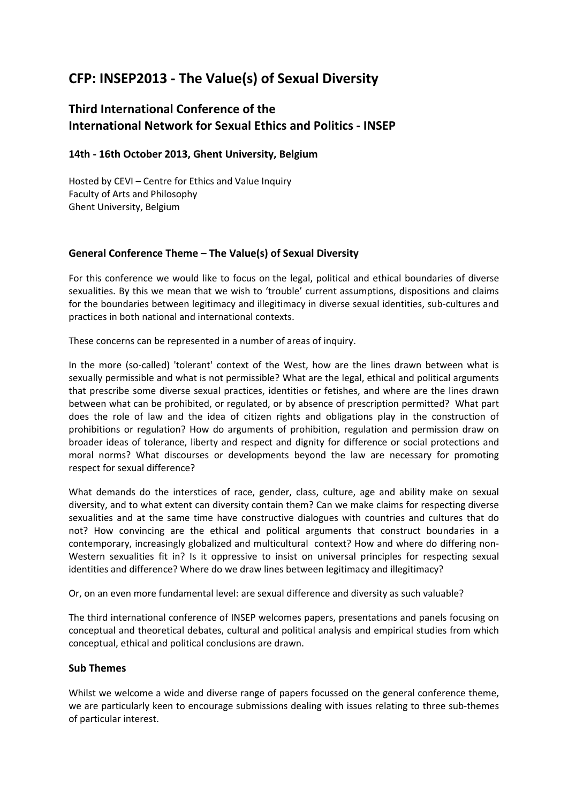# **CFP: INSEP2013 ‐ The Value(s) of Sexual Diversity**

## **Third International Conference of the International Network for Sexual Ethics and Politics ‐ INSEP**

## **14th ‐ 16th October 2013, Ghent University, Belgium**

Hosted by CEVI – Centre for Ethics and Value Inquiry Faculty of Arts and Philosophy Ghent University, Belgium

## **General Conference Theme – The Value(s) of Sexual Diversity**

For this conference we would like to focus on the legal, political and ethical boundaries of diverse sexualities. By this we mean that we wish to 'trouble' current assumptions, dispositions and claims for the boundaries between legitimacy and illegitimacy in diverse sexual identities, sub-cultures and practices in both national and international contexts.

These concerns can be represented in a number of areas of inquiry.

In the more (so-called) 'tolerant' context of the West, how are the lines drawn between what is sexually permissible and what is not permissible? What are the legal, ethical and political arguments that prescribe some diverse sexual practices, identities or fetishes, and where are the lines drawn between what can be prohibited, or regulated, or by absence of prescription permitted? What part does the role of law and the idea of citizen rights and obligations play in the construction of prohibitions or regulation? How do arguments of prohibition, regulation and permission draw on broader ideas of tolerance, liberty and respect and dignity for difference or social protections and moral norms? What discourses or developments beyond the law are necessary for promoting respect for sexual difference?

What demands do the interstices of race, gender, class, culture, age and ability make on sexual diversity, and to what extent can diversity contain them? Can we make claims for respecting diverse sexualities and at the same time have constructive dialogues with countries and cultures that do not? How convincing are the ethical and political arguments that construct boundaries in a contemporary, increasingly globalized and multicultural context? How and where do differing non‐ Western sexualities fit in? Is it oppressive to insist on universal principles for respecting sexual identities and difference? Where do we draw lines between legitimacy and illegitimacy?

Or, on an even more fundamental level: are sexual difference and diversity as such valuable?

The third international conference of INSEP welcomes papers, presentations and panels focusing on conceptual and theoretical debates, cultural and political analysis and empirical studies from which conceptual, ethical and political conclusions are drawn.

## **Sub Themes**

Whilst we welcome a wide and diverse range of papers focussed on the general conference theme, we are particularly keen to encourage submissions dealing with issues relating to three sub-themes of particular interest.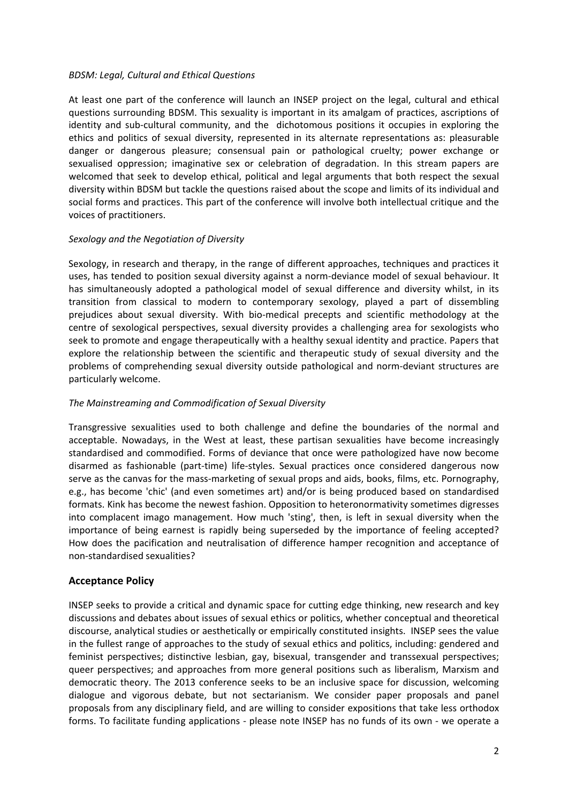#### *BDSM: Legal, Cultural and Ethical Questions*

At least one part of the conference will launch an INSEP project on the legal, cultural and ethical questions surrounding BDSM. This sexuality is important in its amalgam of practices, ascriptions of identity and sub-cultural community, and the dichotomous positions it occupies in exploring the ethics and politics of sexual diversity, represented in its alternate representations as: pleasurable danger or dangerous pleasure; consensual pain or pathological cruelty; power exchange or sexualised oppression; imaginative sex or celebration of degradation. In this stream papers are welcomed that seek to develop ethical, political and legal arguments that both respect the sexual diversity within BDSM but tackle the questions raised about the scope and limits of its individual and social forms and practices. This part of the conference will involve both intellectual critique and the voices of practitioners.

#### *Sexology and the Negotiation of Diversity*

Sexology, in research and therapy, in the range of different approaches, techniques and practices it uses, has tended to position sexual diversity against a norm-deviance model of sexual behaviour. It has simultaneously adopted a pathological model of sexual difference and diversity whilst, in its transition from classical to modern to contemporary sexology, played a part of dissembling prejudices about sexual diversity. With bio-medical precepts and scientific methodology at the centre of sexological perspectives, sexual diversity provides a challenging area for sexologists who seek to promote and engage therapeutically with a healthy sexual identity and practice. Papers that explore the relationship between the scientific and therapeutic study of sexual diversity and the problems of comprehending sexual diversity outside pathological and norm‐deviant structures are particularly welcome.

#### *The Mainstreaming and Commodification of Sexual Diversity*

Transgressive sexualities used to both challenge and define the boundaries of the normal and acceptable. Nowadays, in the West at least, these partisan sexualities have become increasingly standardised and commodified. Forms of deviance that once were pathologized have now become disarmed as fashionable (part‐time) life‐styles. Sexual practices once considered dangerous now serve as the canvas for the mass-marketing of sexual props and aids, books, films, etc. Pornography, e.g., has become 'chic' (and even sometimes art) and/or is being produced based on standardised formats. Kink has become the newest fashion. Opposition to heteronormativity sometimes digresses into complacent imago management. How much 'sting', then, is left in sexual diversity when the importance of being earnest is rapidly being superseded by the importance of feeling accepted? How does the pacification and neutralisation of difference hamper recognition and acceptance of non‐standardised sexualities?

## **Acceptance Policy**

INSEP seeks to provide a critical and dynamic space for cutting edge thinking, new research and key discussions and debates about issues of sexual ethics or politics, whether conceptual and theoretical discourse, analytical studies or aesthetically or empirically constituted insights. INSEP sees the value in the fullest range of approaches to the study of sexual ethics and politics, including: gendered and feminist perspectives; distinctive lesbian, gay, bisexual, transgender and transsexual perspectives; queer perspectives; and approaches from more general positions such as liberalism, Marxism and democratic theory. The 2013 conference seeks to be an inclusive space for discussion, welcoming dialogue and vigorous debate, but not sectarianism. We consider paper proposals and panel proposals from any disciplinary field, and are willing to consider expositions that take less orthodox forms. To facilitate funding applications ‐ please note INSEP has no funds of its own ‐ we operate a